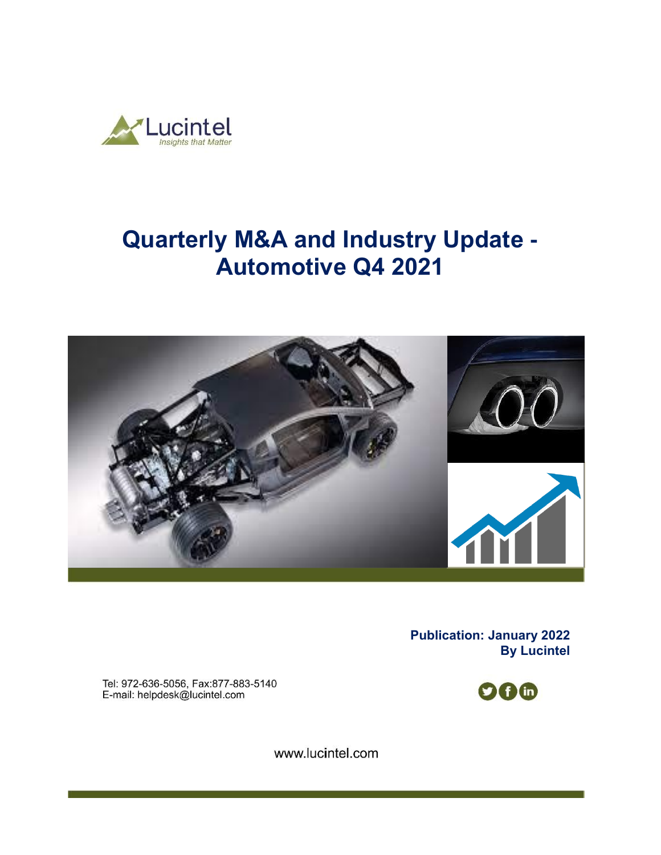

# **Quarterly M&A and Industry Update - Automotive Q4 2021**



**Publication: January 2022 By Lucintel** 

Tel: 972-636-5056, Fax:877-883-5140 E-mail: helpdesk@lucintel.com



www.lucintel.com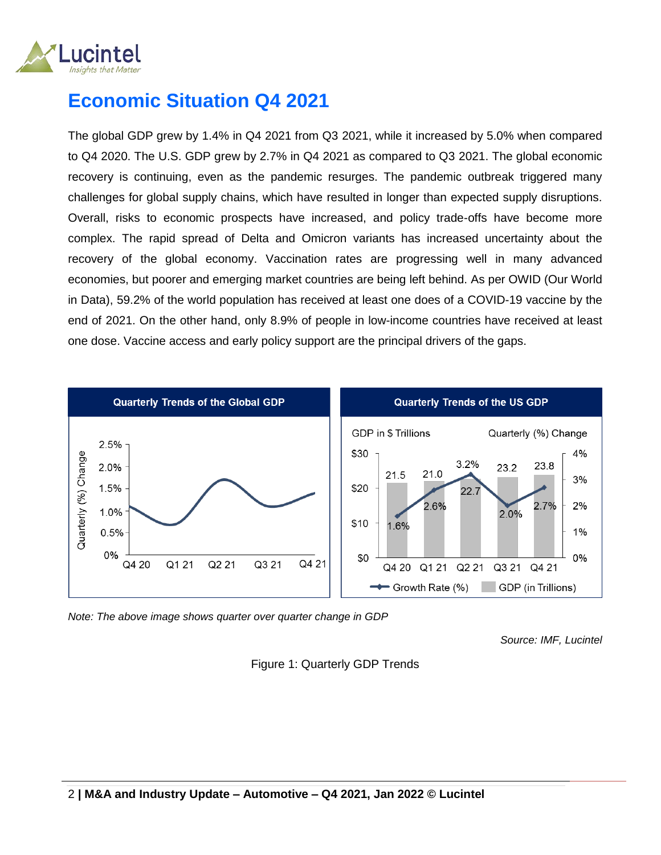

## **Economic Situation Q4 2021**

The global GDP grew by 1.4% in Q4 2021 from Q3 2021, while it increased by 5.0% when compared to Q4 2020. The U.S. GDP grew by 2.7% in Q4 2021 as compared to Q3 2021. The global economic recovery is continuing, even as the pandemic resurges. The pandemic outbreak triggered many challenges for global supply chains, which have resulted in longer than expected supply disruptions. Overall, risks to economic prospects have increased, and policy trade-offs have become more complex. The rapid spread of Delta and Omicron variants has increased uncertainty about the recovery of the global economy. Vaccination rates are progressing well in many advanced economies, but poorer and emerging market countries are being left behind. As per OWID (Our World in Data), 59.2% of the world population has received at least one does of a COVID-19 vaccine by the end of 2021. On the other hand, only 8.9% of people in low-income countries have received at least one dose. Vaccine access and early policy support are the principal drivers of the gaps.



*Note: The above image shows quarter over quarter change in GDP* 

*Source: IMF, Lucintel*

Figure 1: Quarterly GDP Trends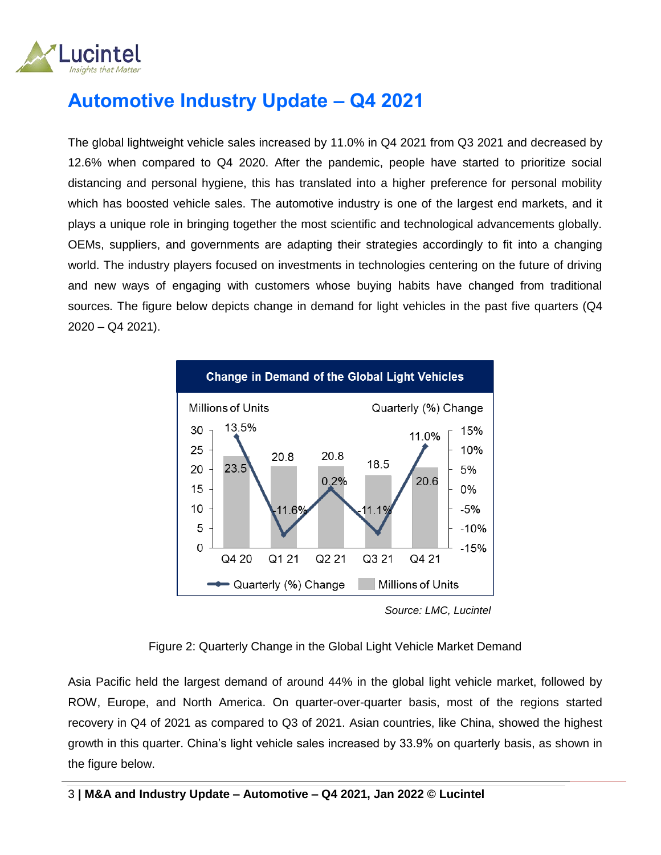

# **Automotive Industry Update – Q4 2021**

The global lightweight vehicle sales increased by 11.0% in Q4 2021 from Q3 2021 and decreased by 12.6% when compared to Q4 2020. After the pandemic, people have started to prioritize social distancing and personal hygiene, this has translated into a higher preference for personal mobility which has boosted vehicle sales. The automotive industry is one of the largest end markets, and it plays a unique role in bringing together the most scientific and technological advancements globally. OEMs, suppliers, and governments are adapting their strategies accordingly to fit into a changing world. The industry players focused on investments in technologies centering on the future of driving and new ways of engaging with customers whose buying habits have changed from traditional sources. The figure below depicts change in demand for light vehicles in the past five quarters (Q4 2020 – Q4 2021).



*Source: LMC, Lucintel*

#### Figure 2: Quarterly Change in the Global Light Vehicle Market Demand

Asia Pacific held the largest demand of around 44% in the global light vehicle market, followed by ROW, Europe, and North America. On quarter-over-quarter basis, most of the regions started recovery in Q4 of 2021 as compared to Q3 of 2021. Asian countries, like China, showed the highest growth in this quarter. China's light vehicle sales increased by 33.9% on quarterly basis, as shown in the figure below.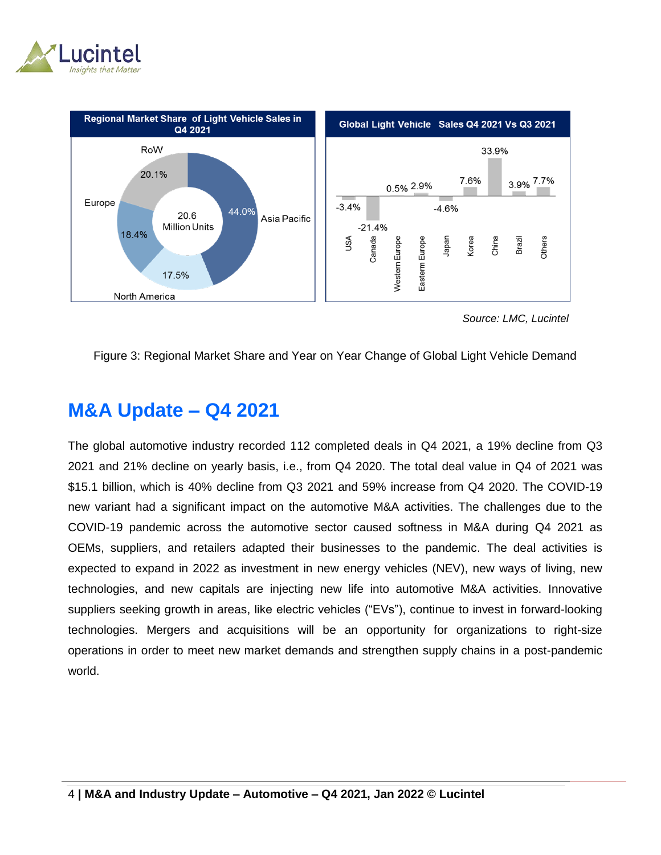



 *Source: LMC, Lucintel*

Figure 3: Regional Market Share and Year on Year Change of Global Light Vehicle Demand

### **M&A Update – Q4 2021**

The global automotive industry recorded 112 completed deals in Q4 2021, a 19% decline from Q3 2021 and 21% decline on yearly basis, i.e., from Q4 2020. The total deal value in Q4 of 2021 was \$15.1 billion, which is 40% decline from Q3 2021 and 59% increase from Q4 2020. The COVID-19 new variant had a significant impact on the automotive M&A activities. The challenges due to the COVID-19 pandemic across the automotive sector caused softness in M&A during Q4 2021 as OEMs, suppliers, and retailers adapted their businesses to the pandemic. The deal activities is expected to expand in 2022 as investment in new energy vehicles (NEV), new ways of living, new technologies, and new capitals are injecting new life into automotive M&A activities. Innovative suppliers seeking growth in areas, like electric vehicles ("EVs"), continue to invest in forward-looking technologies. Mergers and acquisitions will be an opportunity for organizations to right-size operations in order to meet new market demands and strengthen supply chains in a post-pandemic world.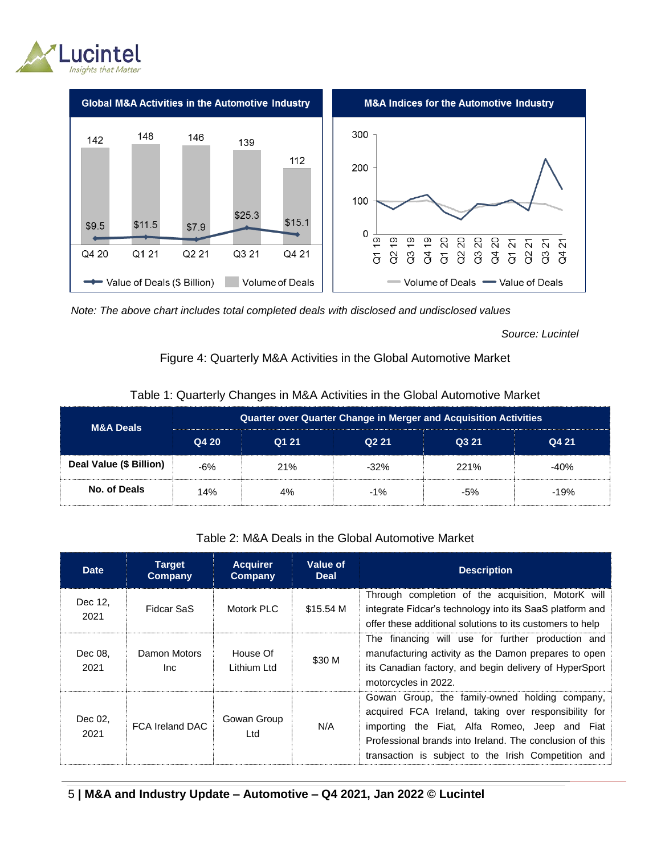



*Note: The above chart includes total completed deals with disclosed and undisclosed values*

 *Source: Lucintel*

#### Figure 4: Quarterly M&A Activities in the Global Automotive Market

| <b>M&amp;A Deals</b>    | <b>Quarter over Quarter Change in Merger and Acquisition Activities</b> |       |                   |       |        |  |  |  |
|-------------------------|-------------------------------------------------------------------------|-------|-------------------|-------|--------|--|--|--|
|                         | Q4 20                                                                   | Q1 21 | Q <sub>2</sub> 21 | Q3 21 | Q4 21  |  |  |  |
| Deal Value (\$ Billion) | $-6%$                                                                   | 21%   | $-32%$            | 221%  | $-40%$ |  |  |  |
| No. of Deals            | 14%                                                                     | 4%    | $-1\%$            | $-5%$ | $-19%$ |  |  |  |

#### Table 1: Quarterly Changes in M&A Activities in the Global Automotive Market

#### Table 2: M&A Deals in the Global Automotive Market

| <b>Date</b>     | <b>Target</b><br>Company | <b>Acquirer</b><br>Company | Value of<br><b>Deal</b> | <b>Description</b>                                                                                                                                                                                                                                                         |
|-----------------|--------------------------|----------------------------|-------------------------|----------------------------------------------------------------------------------------------------------------------------------------------------------------------------------------------------------------------------------------------------------------------------|
| Dec 12,<br>2021 | Fidcar SaS               | Motork PLC                 | \$15.54 M               | Through completion of the acquisition, MotorK will<br>integrate Fidcar's technology into its SaaS platform and<br>offer these additional solutions to its customers to help                                                                                                |
| Dec 08,<br>2021 | Damon Motors<br>Inc.     | House Of<br>Lithium Ltd    | \$30 M                  | The financing will use for further production and<br>manufacturing activity as the Damon prepares to open<br>its Canadian factory, and begin delivery of HyperSport<br>motorcycles in 2022.                                                                                |
| Dec 02,<br>2021 | <b>FCA Ireland DAC</b>   | Gowan Group<br>Ltd         | N/A                     | Gowan Group, the family-owned holding company,<br>acquired FCA Ireland, taking over responsibility for<br>importing the Fiat, Alfa Romeo, Jeep and Fiat<br>Professional brands into Ireland. The conclusion of this<br>transaction is subject to the Irish Competition and |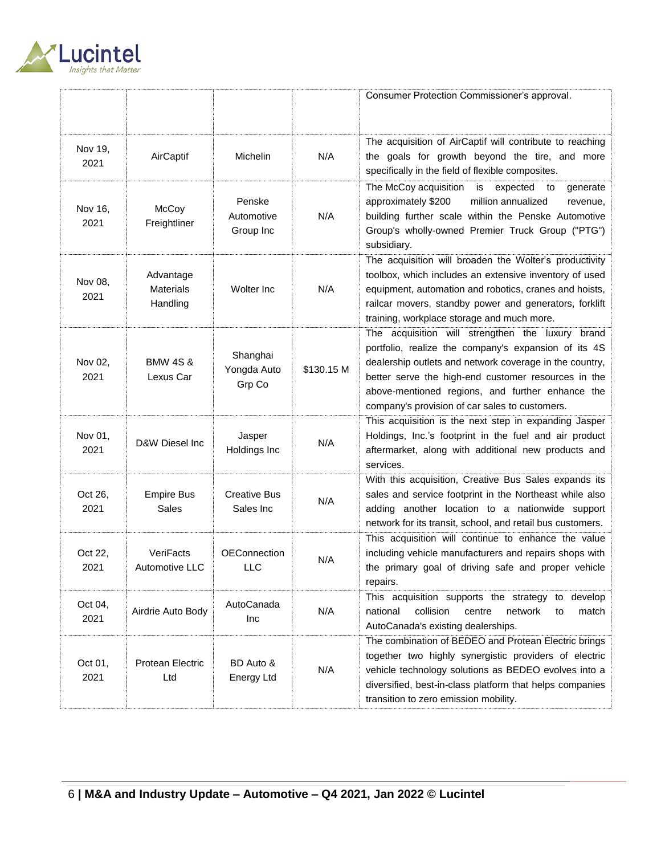

|                 |                                           |                                   |            | Consumer Protection Commissioner's approval.                                                                                                                                                                                                                                                                                     |
|-----------------|-------------------------------------------|-----------------------------------|------------|----------------------------------------------------------------------------------------------------------------------------------------------------------------------------------------------------------------------------------------------------------------------------------------------------------------------------------|
| Nov 19,         |                                           |                                   |            | The acquisition of AirCaptif will contribute to reaching                                                                                                                                                                                                                                                                         |
| 2021            | AirCaptif                                 | Michelin                          | N/A        | the goals for growth beyond the tire, and more<br>specifically in the field of flexible composites.                                                                                                                                                                                                                              |
| Nov 16,<br>2021 | McCoy<br>Freightliner                     | Penske<br>Automotive<br>Group Inc | N/A        | The McCoy acquisition<br>is<br>expected<br>to<br>generate<br>approximately \$200<br>million annualized<br>revenue,<br>building further scale within the Penske Automotive<br>Group's wholly-owned Premier Truck Group ("PTG")<br>subsidiary.                                                                                     |
| Nov 08,<br>2021 | Advantage<br><b>Materials</b><br>Handling | Wolter Inc                        | N/A        | The acquisition will broaden the Wolter's productivity<br>toolbox, which includes an extensive inventory of used<br>equipment, automation and robotics, cranes and hoists,<br>railcar movers, standby power and generators, forklift<br>training, workplace storage and much more.                                               |
| Nov 02,<br>2021 | <b>BMW 4S &amp;</b><br>Lexus Car          | Shanghai<br>Yongda Auto<br>Grp Co | \$130.15 M | The acquisition will strengthen the luxury brand<br>portfolio, realize the company's expansion of its 4S<br>dealership outlets and network coverage in the country,<br>better serve the high-end customer resources in the<br>above-mentioned regions, and further enhance the<br>company's provision of car sales to customers. |
| Nov 01,<br>2021 | D&W Diesel Inc                            | Jasper<br>Holdings Inc            | N/A        | This acquisition is the next step in expanding Jasper<br>Holdings, Inc.'s footprint in the fuel and air product<br>aftermarket, along with additional new products and<br>services.                                                                                                                                              |
| Oct 26,<br>2021 | <b>Empire Bus</b><br><b>Sales</b>         | <b>Creative Bus</b><br>Sales Inc  | N/A        | With this acquisition, Creative Bus Sales expands its<br>sales and service footprint in the Northeast while also<br>adding another location to a nationwide support<br>network for its transit, school, and retail bus customers.                                                                                                |
| Oct 22,<br>2021 | VeriFacts<br>Automotive LLC               | <b>OEConnection</b><br>LLC        | N/A        | This acquisition will continue to enhance the value<br>including vehicle manufacturers and repairs shops with<br>the primary goal of driving safe and proper vehicle<br>repairs.                                                                                                                                                 |
| Oct 04,<br>2021 | Airdrie Auto Body                         | AutoCanada<br>Inc                 | N/A        | This acquisition supports the strategy to develop<br>collision<br>national<br>centre<br>network<br>match<br>to<br>AutoCanada's existing dealerships.                                                                                                                                                                             |
| Oct 01,<br>2021 | Protean Electric<br>Ltd                   | BD Auto &<br>Energy Ltd           | N/A        | The combination of BEDEO and Protean Electric brings<br>together two highly synergistic providers of electric<br>vehicle technology solutions as BEDEO evolves into a<br>diversified, best-in-class platform that helps companies<br>transition to zero emission mobility.                                                       |